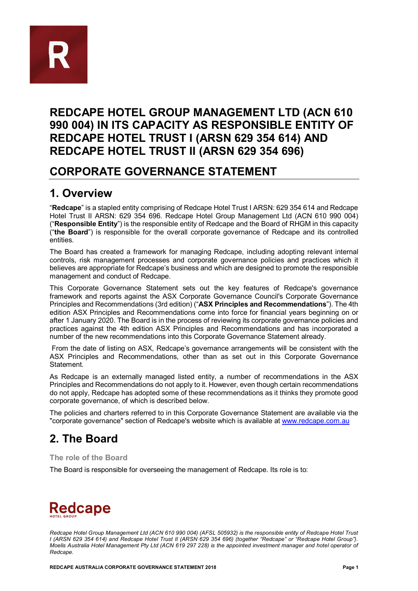

### **REDCAPE HOTEL GROUP MANAGEMENT LTD (ACN 610 990 004) IN ITS CAPACITY AS RESPONSIBLE ENTITY OF REDCAPE HOTEL TRUST I (ARSN 629 354 614) AND REDCAPE HOTEL TRUST II (ARSN 629 354 696)**

### **CORPORATE GOVERNANCE STATEMENT**

### **1. Overview**

"**Redcape**" is a stapled entity comprising of Redcape Hotel Trust I ARSN: 629 354 614 and Redcape Hotel Trust II ARSN: 629 354 696. Redcape Hotel Group Management Ltd (ACN 610 990 004) ("**Responsible Entity**") is the responsible entity of Redcape and the Board of RHGM in this capacity ("**the Board**") is responsible for the overall corporate governance of Redcape and its controlled entities.

The Board has created a framework for managing Redcape, including adopting relevant internal controls, risk management processes and corporate governance policies and practices which it believes are appropriate for Redcape's business and which are designed to promote the responsible management and conduct of Redcape.

This Corporate Governance Statement sets out the key features of Redcape's governance framework and reports against the ASX Corporate Governance Council's Corporate Governance Principles and Recommendations (3rd edition) ("**ASX Principles and Recommendations**"). The 4th edition ASX Principles and Recommendations come into force for financial years beginning on or after 1 January 2020. The Board is in the process of reviewing its corporate governance policies and practices against the 4th edition ASX Principles and Recommendations and has incorporated a number of the new recommendations into this Corporate Governance Statement already.

From the date of listing on ASX, Redcape's governance arrangements will be consistent with the ASX Principles and Recommendations, other than as set out in this Corporate Governance Statement.

As Redcape is an externally managed listed entity, a number of recommendations in the ASX Principles and Recommendations do not apply to it. However, even though certain recommendations do not apply, Redcape has adopted some of these recommendations as it thinks they promote good corporate governance, of which is described below.

The policies and charters referred to in this Corporate Governance Statement are available via the "corporate governance" section of Redcape's website which is available at [www.redcape.com.au](http://www.redcape.com.au/)

## **2. The Board**

#### **The role of the Board**

The Board is responsible for overseeing the management of Redcape. Its role is to:

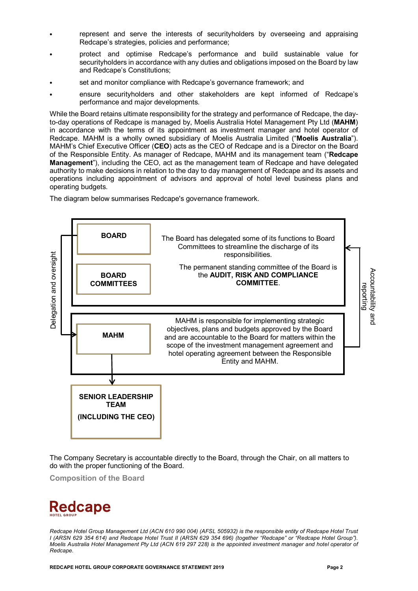- represent and serve the interests of securityholders by overseeing and appraising Redcape's strategies, policies and performance;
- protect and optimise Redcape's performance and build sustainable value for securityholders in accordance with any duties and obligations imposed on the Board by law and Redcape's Constitutions;
- set and monitor compliance with Redcape's governance framework; and
- ensure securityholders and other stakeholders are kept informed of Redcape's performance and major developments.

While the Board retains ultimate responsibility for the strategy and performance of Redcape, the dayto-day operations of Redcape is managed by, Moelis Australia Hotel Management Pty Ltd (**MAHM**) in accordance with the terms of its appointment as investment manager and hotel operator of Redcape. MAHM is a wholly owned subsidiary of Moelis Australia Limited ("**Moelis Australia**"). MAHM's Chief Executive Officer (**CEO**) acts as the CEO of Redcape and is a Director on the Board of the Responsible Entity. As manager of Redcape, MAHM and its management team ("**Redcape Management**"), including the CEO, act as the management team of Redcape and have delegated authority to make decisions in relation to the day to day management of Redcape and its assets and operations including appointment of advisors and approval of hotel level business plans and operating budgets.

The diagram below summarises Redcape's governance framework.



The Company Secretary is accountable directly to the Board, through the Chair, on all matters to do with the proper functioning of the Board.

**Composition of the Board**

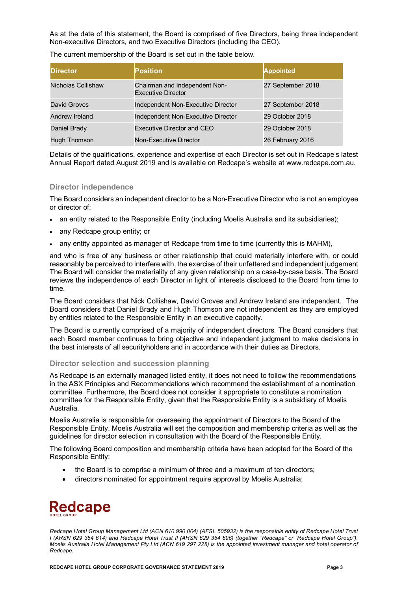As at the date of this statement, the Board is comprised of five Directors, being three independent Non-executive Directors, and two Executive Directors (including the CEO).

| <b>IDirector</b>   | <b>Position</b>                                     | <b>Appointed</b>  |
|--------------------|-----------------------------------------------------|-------------------|
| Nicholas Collishaw | Chairman and Independent Non-<br>Executive Director | 27 September 2018 |
| David Groves       | Independent Non-Executive Director                  | 27 September 2018 |
| Andrew Ireland     | Independent Non-Executive Director                  | 29 October 2018   |
| Daniel Brady       | Executive Director and CEO                          | 29 October 2018   |
| Hugh Thomson       | Non-Executive Director                              | 26 February 2016  |

Details of the qualifications, experience and expertise of each Director is set out in Redcape's latest Annual Report dated August 2019 and is available on Redcape's website at www.redcape.com.au.

#### **Director independence**

The Board considers an independent director to be a Non-Executive Director who is not an employee or director of:

- an entity related to the Responsible Entity (including Moelis Australia and its subsidiaries);
- any Redcape group entity; or
- any entity appointed as manager of Redcape from time to time (currently this is MAHM),

and who is free of any business or other relationship that could materially interfere with, or could reasonably be perceived to interfere with, the exercise of their unfettered and independent judgement The Board will consider the materiality of any given relationship on a case-by-case basis. The Board reviews the independence of each Director in light of interests disclosed to the Board from time to time.

The Board considers that Nick Collishaw, David Groves and Andrew Ireland are independent. The Board considers that Daniel Brady and Hugh Thomson are not independent as they are employed by entities related to the Responsible Entity in an executive capacity.

The Board is currently comprised of a majority of independent directors. The Board considers that each Board member continues to bring objective and independent judgment to make decisions in the best interests of all securityholders and in accordance with their duties as Directors.

#### **Director selection and succession planning**

As Redcape is an externally managed listed entity, it does not need to follow the recommendations in the ASX Principles and Recommendations which recommend the establishment of a nomination committee. Furthermore, the Board does not consider it appropriate to constitute a nomination committee for the Responsible Entity, given that the Responsible Entity is a subsidiary of Moelis Australia.

Moelis Australia is responsible for overseeing the appointment of Directors to the Board of the Responsible Entity. Moelis Australia will set the composition and membership criteria as well as the guidelines for director selection in consultation with the Board of the Responsible Entity.

The following Board composition and membership criteria have been adopted for the Board of the Responsible Entity:

- the Board is to comprise a minimum of three and a maximum of ten directors;
- directors nominated for appointment require approval by Moelis Australia;

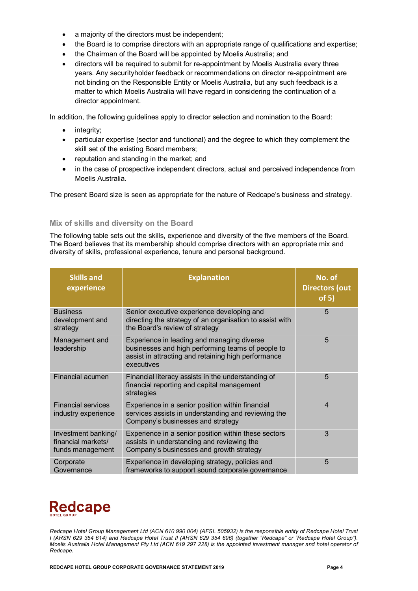- a majority of the directors must be independent;
- the Board is to comprise directors with an appropriate range of qualifications and expertise;
- the Chairman of the Board will be appointed by Moelis Australia; and
- directors will be required to submit for re-appointment by Moelis Australia every three years. Any securityholder feedback or recommendations on director re-appointment are not binding on the Responsible Entity or Moelis Australia, but any such feedback is a matter to which Moelis Australia will have regard in considering the continuation of a director appointment.

In addition, the following guidelines apply to director selection and nomination to the Board:

- integrity;
- particular expertise (sector and functional) and the degree to which they complement the skill set of the existing Board members;
- reputation and standing in the market; and
- in the case of prospective independent directors, actual and perceived independence from Moelis Australia.

The present Board size is seen as appropriate for the nature of Redcape's business and strategy.

#### **Mix of skills and diversity on the Board**

The following table sets out the skills, experience and diversity of the five members of the Board. The Board believes that its membership should comprise directors with an appropriate mix and diversity of skills, professional experience, tenure and personal background.

| <b>Skills and</b><br>experience                               | <b>Explanation</b>                                                                                                                                                   | No. of<br><b>Directors (out</b><br>of 5) |
|---------------------------------------------------------------|----------------------------------------------------------------------------------------------------------------------------------------------------------------------|------------------------------------------|
| <b>Business</b><br>development and<br>strategy                | Senior executive experience developing and<br>directing the strategy of an organisation to assist with<br>the Board's review of strategy                             | 5                                        |
| Management and<br>leadership                                  | Experience in leading and managing diverse<br>businesses and high performing teams of people to<br>assist in attracting and retaining high performance<br>executives | 5                                        |
| Financial acumen                                              | Financial literacy assists in the understanding of<br>financial reporting and capital management<br>strategies                                                       | 5                                        |
| <b>Financial services</b><br>industry experience              | Experience in a senior position within financial<br>services assists in understanding and reviewing the<br>Company's businesses and strategy                         | $\overline{4}$                           |
| Investment banking/<br>financial markets/<br>funds management | Experience in a senior position within these sectors<br>assists in understanding and reviewing the<br>Company's businesses and growth strategy                       | 3                                        |
| Corporate<br>Governance                                       | Experience in developing strategy, policies and<br>frameworks to support sound corporate governance                                                                  | 5                                        |

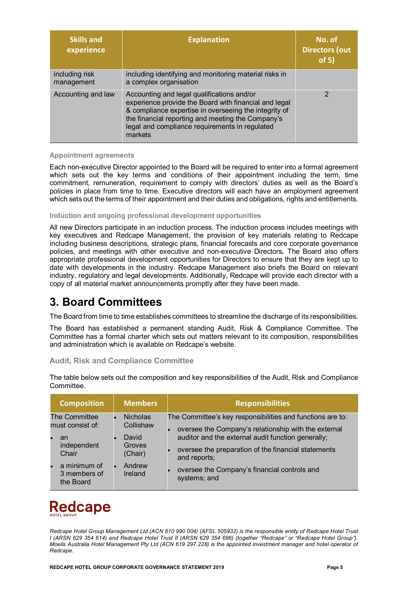| <b>Skills and</b><br>experience | <b>Explanation</b>                                                                                                                                                                                                                                                             | No. of<br><b>Directors (out)</b><br>of 5) |
|---------------------------------|--------------------------------------------------------------------------------------------------------------------------------------------------------------------------------------------------------------------------------------------------------------------------------|-------------------------------------------|
| including risk<br>management    | including identifying and monitoring material risks in<br>a complex organisation                                                                                                                                                                                               |                                           |
| Accounting and law              | Accounting and legal qualifications and/or<br>experience provide the Board with financial and legal<br>& compliance expertise in overseeing the integrity of<br>the financial reporting and meeting the Company's<br>legal and compliance requirements in regulated<br>markets | っ                                         |

#### **Appointment agreements**

Each non-executive Director appointed to the Board will be required to enter into a formal agreement which sets out the key terms and conditions of their appointment including the term, time commitment, remuneration, requirement to comply with directors' duties as well as the Board's policies in place from time to time. Executive directors will each have an employment agreement which sets out the terms of their appointment and their duties and obligations, rights and entitlements.

#### **Induction and ongoing professional development opportunities**

All new Directors participate in an induction process. The induction process includes meetings with key executives and Redcape Management, the provision of key materials relating to Redcape including business descriptions, strategic plans, financial forecasts and core corporate governance policies, and meetings with other executive and non-executive Directors**.** The Board also offers appropriate professional development opportunities for Directors to ensure that they are kept up to date with developments in the industry. Redcape Management also briefs the Board on relevant industry, regulatory and legal developments. Additionally, Redcape will provide each director with a copy of all material market announcements promptly after they have been made.

### **3. Board Committees**

The Board from time to time establishes committees to streamline the discharge of its responsibilities.

The Board has established a permanent standing Audit, Risk & Compliance Committee. The Committee has a formal charter which sets out matters relevant to its composition, responsibilities and administration which is available on Redcape's website.

#### **Audit, Risk and Compliance Committee**

The table below sets out the composition and key responsibilities of the Audit, Risk and Compliance Committee.

| <b>Composition</b>                                                                                                        | <b>Members</b>                                                                  | <b>Responsibilities</b>                                                                                                                                                                                                                                                                                         |
|---------------------------------------------------------------------------------------------------------------------------|---------------------------------------------------------------------------------|-----------------------------------------------------------------------------------------------------------------------------------------------------------------------------------------------------------------------------------------------------------------------------------------------------------------|
| The Committee<br>must consist of:<br>an<br>independent<br>Chair<br>a minimum of<br>$\bullet$<br>3 members of<br>the Board | <b>Nicholas</b><br>Collishaw<br>David<br>Groves<br>(Chair)<br>Andrew<br>Ireland | The Committee's key responsibilities and functions are to:<br>oversee the Company's relationship with the external<br>auditor and the external audit function generally;<br>oversee the preparation of the financial statements<br>and reports;<br>oversee the Company's financial controls and<br>systems; and |

# **Redcape**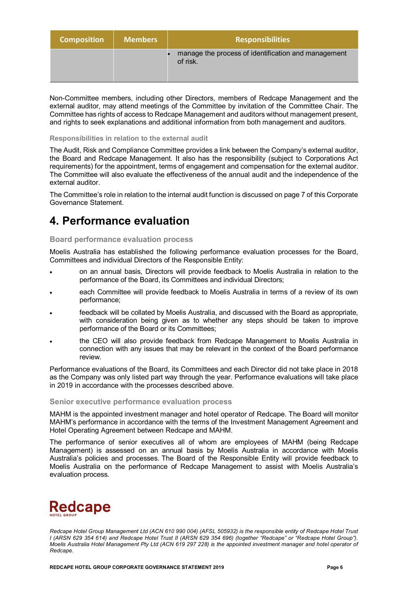| <b>Composition</b> | <b>Members</b> | <b>Responsibilities</b>                                         |
|--------------------|----------------|-----------------------------------------------------------------|
|                    |                | manage the process of identification and management<br>of risk. |

Non-Committee members, including other Directors, members of Redcape Management and the external auditor, may attend meetings of the Committee by invitation of the Committee Chair. The Committee has rights of access to Redcape Management and auditors without management present, and rights to seek explanations and additional information from both management and auditors.

#### **Responsibilities in relation to the external audit**

The Audit, Risk and Compliance Committee provides a link between the Company's external auditor, the Board and Redcape Management. It also has the responsibility (subject to Corporations Act requirements) for the appointment, terms of engagement and compensation for the external auditor. The Committee will also evaluate the effectiveness of the annual audit and the independence of the external auditor.

The Committee's role in relation to the internal audit function is discussed on page 7 of this Corporate Governance Statement.

### **4. Performance evaluation**

#### **Board performance evaluation process**

Moelis Australia has established the following performance evaluation processes for the Board, Committees and individual Directors of the Responsible Entity:

- on an annual basis, Directors will provide feedback to Moelis Australia in relation to the performance of the Board, its Committees and individual Directors;
- each Committee will provide feedback to Moelis Australia in terms of a review of its own performance;
- feedback will be collated by Moelis Australia, and discussed with the Board as appropriate, with consideration being given as to whether any steps should be taken to improve performance of the Board or its Committees;
- the CEO will also provide feedback from Redcape Management to Moelis Australia in connection with any issues that may be relevant in the context of the Board performance review.

Performance evaluations of the Board, its Committees and each Director did not take place in 2018 as the Company was only listed part way through the year. Performance evaluations will take place in 2019 in accordance with the processes described above.

#### **Senior executive performance evaluation process**

MAHM is the appointed investment manager and hotel operator of Redcape. The Board will monitor MAHM's performance in accordance with the terms of the Investment Management Agreement and Hotel Operating Agreement between Redcape and MAHM.

The performance of senior executives all of whom are employees of MAHM (being Redcape Management) is assessed on an annual basis by Moelis Australia in accordance with Moelis Australia's policies and processes. The Board of the Responsible Entity will provide feedback to Moelis Australia on the performance of Redcape Management to assist with Moelis Australia's evaluation process.

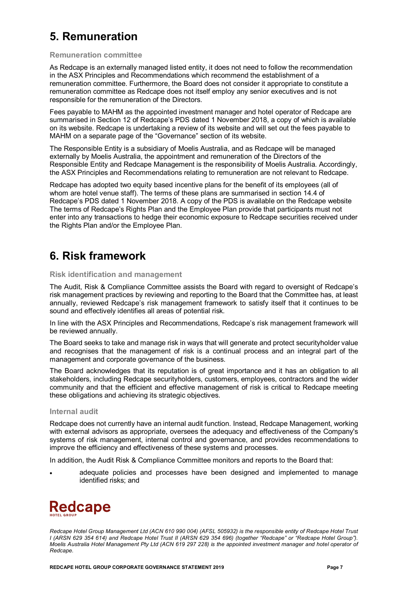# **5. Remuneration**

#### **Remuneration committee**

As Redcape is an externally managed listed entity, it does not need to follow the recommendation in the ASX Principles and Recommendations which recommend the establishment of a remuneration committee. Furthermore, the Board does not consider it appropriate to constitute a remuneration committee as Redcape does not itself employ any senior executives and is not responsible for the remuneration of the Directors.

Fees payable to MAHM as the appointed investment manager and hotel operator of Redcape are summarised in Section 12 of Redcape's PDS dated 1 November 2018, a copy of which is available on its website. Redcape is undertaking a review of its website and will set out the fees payable to MAHM on a separate page of the "Governance" section of its website.

The Responsible Entity is a subsidiary of Moelis Australia, and as Redcape will be managed externally by Moelis Australia, the appointment and remuneration of the Directors of the Responsible Entity and Redcape Management is the responsibility of Moelis Australia. Accordingly, the ASX Principles and Recommendations relating to remuneration are not relevant to Redcape.

Redcape has adopted two equity based incentive plans for the benefit of its employees (all of whom are hotel venue staff). The terms of these plans are summarised in section 14.4 of Redcape's PDS dated 1 November 2018. A copy of the PDS is available on the Redcape website The terms of Redcape's Rights Plan and the Employee Plan provide that participants must not enter into any transactions to hedge their economic exposure to Redcape securities received under the Rights Plan and/or the Employee Plan.

### **6. Risk framework**

#### **Risk identification and management**

The Audit, Risk & Compliance Committee assists the Board with regard to oversight of Redcape's risk management practices by reviewing and reporting to the Board that the Committee has, at least annually, reviewed Redcape's risk management framework to satisfy itself that it continues to be sound and effectively identifies all areas of potential risk.

In line with the ASX Principles and Recommendations, Redcape's risk management framework will be reviewed annually.

The Board seeks to take and manage risk in ways that will generate and protect securityholder value and recognises that the management of risk is a continual process and an integral part of the management and corporate governance of the business.

The Board acknowledges that its reputation is of great importance and it has an obligation to all stakeholders, including Redcape securityholders, customers, employees, contractors and the wider community and that the efficient and effective management of risk is critical to Redcape meeting these obligations and achieving its strategic objectives.

#### **Internal audit**

Redcape does not currently have an internal audit function. Instead, Redcape Management, working with external advisors as appropriate, oversees the adequacy and effectiveness of the Company's systems of risk management, internal control and governance, and provides recommendations to improve the efficiency and effectiveness of these systems and processes.

In addition, the Audit Risk & Compliance Committee monitors and reports to the Board that:

• adequate policies and processes have been designed and implemented to manage identified risks; and

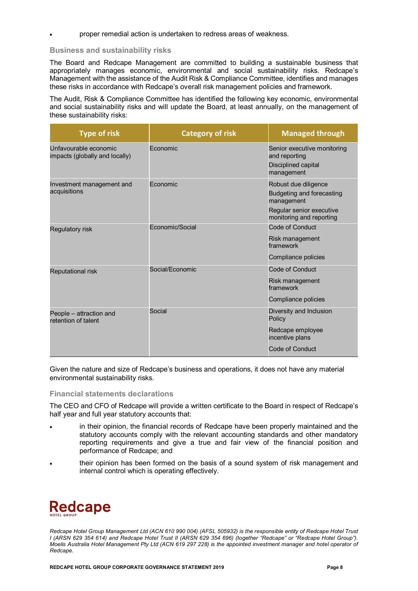• proper remedial action is undertaken to redress areas of weakness.

#### **Business and sustainability risks**

The Board and Redcape Management are committed to building a sustainable business that appropriately manages economic, environmental and social sustainability risks. Redcape's Management with the assistance of the Audit Risk & Compliance Committee, identifies and manages these risks in accordance with Redcape's overall risk management policies and framework.

The Audit, Risk & Compliance Committee has identified the following key economic, environmental and social sustainability risks and will update the Board, at least annually, on the management of these sustainability risks:

| <b>Type of risk</b>                                     | <b>Category of risk</b> | <b>Managed through</b>                                                                                                  |
|---------------------------------------------------------|-------------------------|-------------------------------------------------------------------------------------------------------------------------|
| Unfavourable economic<br>impacts (globally and locally) | Fconomic                | Senior executive monitoring<br>and reporting<br>Disciplined capital<br>management                                       |
| Investment management and<br>acquisitions               | Economic                | Robust due diligence<br>Budgeting and forecasting<br>management<br>Regular senior executive<br>monitoring and reporting |
| Regulatory risk                                         | Economic/Social         | Code of Conduct<br>Risk management<br>framework<br>Compliance policies                                                  |
| <b>Reputational risk</b>                                | Social/Fconomic         | Code of Conduct<br>Risk management<br>framework<br>Compliance policies                                                  |
| People - attraction and<br>retention of talent          | Social                  | Diversity and Inclusion<br>Policy<br>Redcape employee<br>incentive plans<br>Code of Conduct                             |

Given the nature and size of Redcape's business and operations, it does not have any material environmental sustainability risks.

#### **Financial statements declarations**

The CEO and CFO of Redcape will provide a written certificate to the Board in respect of Redcape's half year and full year statutory accounts that:

- in their opinion, the financial records of Redcape have been properly maintained and the statutory accounts comply with the relevant accounting standards and other mandatory reporting requirements and give a true and fair view of the financial position and performance of Redcape; and
- their opinion has been formed on the basis of a sound system of risk management and internal control which is operating effectively.

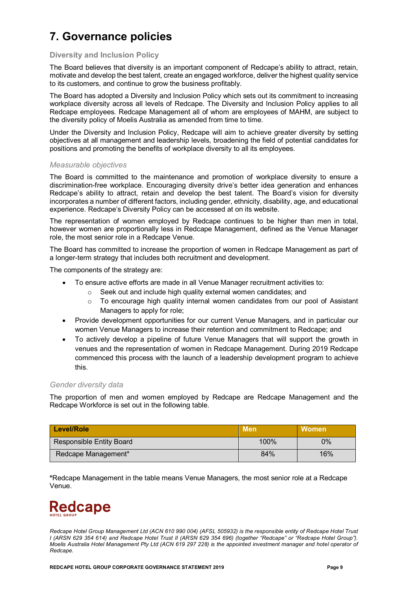# **7. Governance policies**

#### **Diversity and Inclusion Policy**

The Board believes that diversity is an important component of Redcape's ability to attract, retain, motivate and develop the best talent, create an engaged workforce, deliver the highest quality service to its customers, and continue to grow the business profitably.

The Board has adopted a Diversity and Inclusion Policy which sets out its commitment to increasing workplace diversity across all levels of Redcape. The Diversity and Inclusion Policy applies to all Redcape employees. Redcape Management all of whom are employees of MAHM, are subject to the diversity policy of Moelis Australia as amended from time to time.

Under the Diversity and Inclusion Policy, Redcape will aim to achieve greater diversity by setting objectives at all management and leadership levels, broadening the field of potential candidates for positions and promoting the benefits of workplace diversity to all its employees.

#### *Measurable objectives*

The Board is committed to the maintenance and promotion of workplace diversity to ensure a discrimination-free workplace. Encouraging diversity drive's better idea generation and enhances Redcape's ability to attract, retain and develop the best talent. The Board's vision for diversity incorporates a number of different factors, including gender, ethnicity, disability, age, and educational experience. Redcape's Diversity Policy can be accessed at on its website.

The representation of women employed by Redcape continues to be higher than men in total, however women are proportionally less in Redcape Management, defined as the Venue Manager role, the most senior role in a Redcape Venue.

The Board has committed to increase the proportion of women in Redcape Management as part of a longer-term strategy that includes both recruitment and development.

The components of the strategy are:

- To ensure active efforts are made in all Venue Manager recruitment activities to:
	- o Seek out and include high quality external women candidates; and
		- $\circ$  To encourage high quality internal women candidates from our pool of Assistant Managers to apply for role;
- Provide development opportunities for our current Venue Managers, and in particular our women Venue Managers to increase their retention and commitment to Redcape; and
- To actively develop a pipeline of future Venue Managers that will support the growth in venues and the representation of women in Redcape Management. During 2019 Redcape commenced this process with the launch of a leadership development program to achieve this.

#### *Gender diversity data*

The proportion of men and women employed by Redcape are Redcape Management and the Redcape Workforce is set out in the following table.

| Level/Role                      | Men <sup>l</sup> | <b>Women</b> |
|---------------------------------|------------------|--------------|
| <b>Responsible Entity Board</b> | 100%             | $0\%$        |
| Redcape Management*             | 84%              | 16%          |

**\***Redcape Management in the table means Venue Managers, the most senior role at a Redcape Venue.

# **Redcape**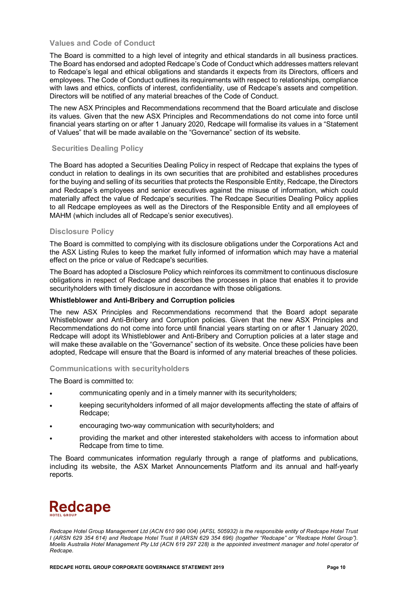#### **Values and Code of Conduct**

The Board is committed to a high level of integrity and ethical standards in all business practices. The Board has endorsed and adopted Redcape's Code of Conduct which addresses matters relevant to Redcape's legal and ethical obligations and standards it expects from its Directors, officers and employees. The Code of Conduct outlines its requirements with respect to relationships, compliance with laws and ethics, conflicts of interest, confidentiality, use of Redcape's assets and competition. Directors will be notified of any material breaches of the Code of Conduct.

The new ASX Principles and Recommendations recommend that the Board articulate and disclose its values. Given that the new ASX Principles and Recommendations do not come into force until financial years starting on or after 1 January 2020, Redcape will formalise its values in a "Statement of Values" that will be made available on the "Governance" section of its website.

#### **Securities Dealing Policy**

The Board has adopted a Securities Dealing Policy in respect of Redcape that explains the types of conduct in relation to dealings in its own securities that are prohibited and establishes procedures for the buying and selling of its securities that protects the Responsible Entity, Redcape, the Directors and Redcape's employees and senior executives against the misuse of information, which could materially affect the value of Redcape's securities. The Redcape Securities Dealing Policy applies to all Redcape employees as well as the Directors of the Responsible Entity and all employees of MAHM (which includes all of Redcape's senior executives).

#### **Disclosure Policy**

The Board is committed to complying with its disclosure obligations under the Corporations Act and the ASX Listing Rules to keep the market fully informed of information which may have a material effect on the price or value of Redcape's securities.

The Board has adopted a Disclosure Policy which reinforces its commitment to continuous disclosure obligations in respect of Redcape and describes the processes in place that enables it to provide securityholders with timely disclosure in accordance with those obligations.

#### **Whistleblower and Anti-Bribery and Corruption policies**

The new ASX Principles and Recommendations recommend that the Board adopt separate Whistleblower and Anti-Bribery and Corruption policies. Given that the new ASX Principles and Recommendations do not come into force until financial years starting on or after 1 January 2020, Redcape will adopt its Whistleblower and Anti-Bribery and Corruption policies at a later stage and will make these available on the "Governance" section of its website. Once these policies have been adopted, Redcape will ensure that the Board is informed of any material breaches of these policies.

#### **Communications with securityholders**

The Board is committed to:

- communicating openly and in a timely manner with its securityholders;
- keeping securityholders informed of all major developments affecting the state of affairs of Redcape;
- encouraging two-way communication with securityholders; and
- providing the market and other interested stakeholders with access to information about Redcape from time to time.

The Board communicates information regularly through a range of platforms and publications, including its website, the ASX Market Announcements Platform and its annual and half-yearly reports.